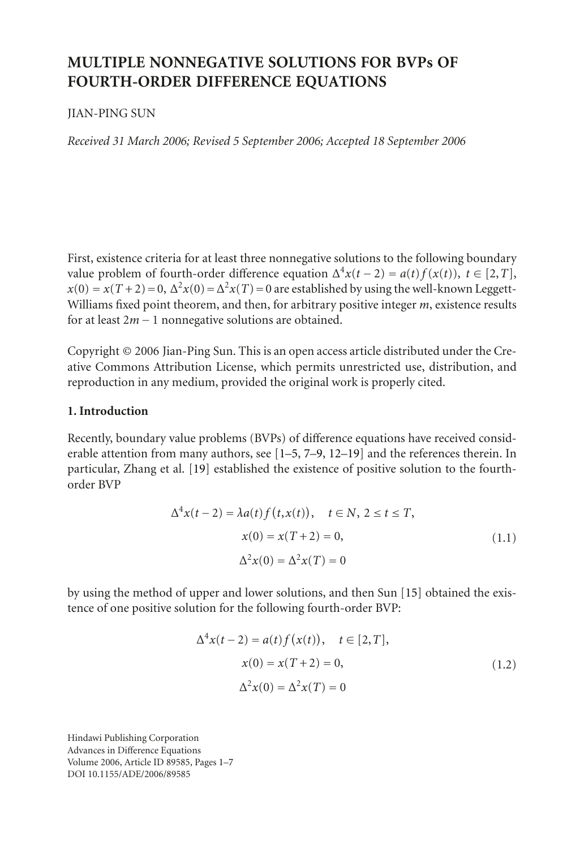# **MULTIPLE NONNEGATIVE SOLUTIONS FOR BVPs OF FOURTH-ORDER DIFFERENCE EQUATIONS**

# JIAN-PING SUN

*Received 31 March 2006; Revised 5 September 2006; Accepted 18 September 2006*

First, existence criteria for at least three nonnegative solutions to the following boundary value problem of fourth-order difference equation  $\Delta^4 x(t-2) = a(t) f(x(t))$ ,  $t \in [2, T]$ ,  $x(0) = x(T+2) = 0$ ,  $\Delta^2 x(0) = \Delta^2 x(T) = 0$  are established by using the well-known Leggett-Williams fixed point theorem, and then, for arbitrary positive integer *m*, existence results for at least 2*<sup>m</sup>* <sup>−</sup> 1 nonnegative solutions are obtained.

Copyright © 2006 Jian-Ping Sun. This is an open access article distributed under the Creative Commons Attribution License, which permits unrestricted use, distribution, and reproduction in any medium, provided the original work is properly cited.

# **1. Introduction**

Recently, boundary value problems (BVPs) of difference equations have received considerable attention from many authors, see [\[1](#page-5-0)[–5,](#page-5-1) [7](#page-5-2)[–9,](#page-5-3) [12](#page-5-4)[–19](#page-6-0)] and the references therein. In particular, Zhang et al. [\[19\]](#page-6-0) established the existence of positive solution to the fourthorder BVP

$$
\Delta^{4}x(t-2) = \lambda a(t) f(t, x(t)), \quad t \in N, \ 2 \le t \le T,
$$
  

$$
x(0) = x(T+2) = 0,
$$
  

$$
\Delta^{2}x(0) = \Delta^{2}x(T) = 0
$$
 (1.1)

by using the method of upper and lower solutions, and then Sun [\[15\]](#page-5-5) obtained the existence of one positive solution for the following fourth-order BVP:

<span id="page-0-0"></span>
$$
\Delta^{4}x(t-2) = a(t)f(x(t)), \quad t \in [2, T],
$$
  
\n
$$
x(0) = x(T+2) = 0,
$$
  
\n
$$
\Delta^{2}x(0) = \Delta^{2}x(T) = 0
$$
\n(1.2)

Hindawi Publishing Corporation Advances in Difference Equations Volume 2006, Article ID 89585, Pages 1[–7](#page-5-6) DOI 10.1155/ADE/2006/89585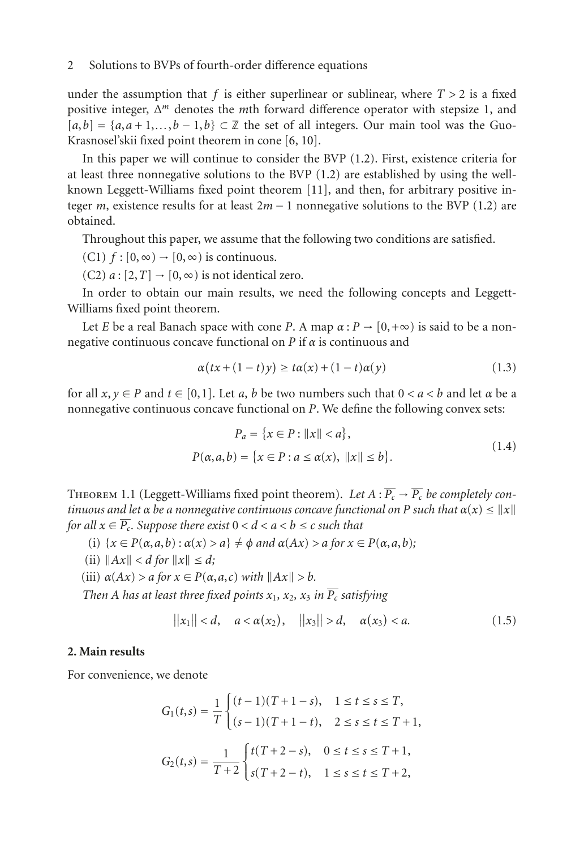# 2 Solutions to BVPs of fourth-order difference equations

under the assumption that  $f$  is either superlinear or sublinear, where  $T > 2$  is a fixed positive integer, Δ*<sup>m</sup>* denotes the *m*th forward difference operator with stepsize 1, and  $[a,b] = \{a,a+1,\ldots,b-1,b\} \subset \mathbb{Z}$  the set of all integers. Our main tool was the Guo-Krasnosel'skii fixed point theorem in cone [\[6,](#page-5-7) [10](#page-5-8)].

In this paper we will continue to consider the BVP [\(1.2\)](#page-0-0). First, existence criteria for at least three nonnegative solutions to the BVP [\(1.2\)](#page-0-0) are established by using the wellknown Leggett-Williams fixed point theorem [\[11](#page-5-9)], and then, for arbitrary positive integer *<sup>m</sup>*, existence results for at least 2*<sup>m</sup>* <sup>−</sup> 1 nonnegative solutions to the BVP [\(1.2\)](#page-0-0) are obtained.

Throughout this paper, we assume that the following two conditions are satisfied.

- (C1)  $f : [0, \infty) \rightarrow [0, \infty)$  is continuous.
- $(C2)$  *a* :  $[2, T] \rightarrow [0, \infty)$  is not identical zero.

In order to obtain our main results, we need the following concepts and Leggett-Williams fixed point theorem.

Let *E* be a real Banach space with cone *P*. A map  $\alpha$  :  $P \rightarrow [0, +\infty)$  is said to be a nonnegative continuous concave functional on *P* if *α* is continuous and

$$
\alpha(tx + (1-t)y) \ge t\alpha(x) + (1-t)\alpha(y)
$$
\n(1.3)

for all  $x, y \in P$  and  $t \in [0, 1]$ . Let *a*, *b* be two numbers such that  $0 < a < b$  and let  $\alpha$  be a nonnegative continuous concave functional on *P*. We define the following convex sets:

$$
P_a = \{x \in P : ||x|| < a\},\
$$
  

$$
P(\alpha, a, b) = \{x \in P : a \le \alpha(x), ||x|| \le b\}.
$$
 (1.4)

THEOREM 1.1 (Leggett-Williams fixed point theorem). Let  $A: \overline{P_c} \to \overline{P_c}$  be completely con*tinuous and let*  $\alpha$  *be a nonnegative continuous concave functional on P such that*  $\alpha(x) \leq ||x||$ *for all*  $x \in \overline{P_c}$ *. Suppose there exist*  $0 < d < a < b \le c$  *such that* 

- (i)  $\{x \in P(\alpha, a, b) : \alpha(x) > a\} \neq \emptyset$  *and*  $\alpha(Ax) > a$  *for*  $x \in P(\alpha, a, b)$ ;
- (ii)  $||Ax|| < d$  *for*  $||x|| \leq d$ ;
- (iii)  $\alpha(Ax) > a$  *for*  $x \in P(\alpha, a, c)$  *with*  $||Ax|| > b$ *.*

*Then A has at least three fixed points*  $x_1$ *,*  $x_2$ *,*  $x_3$  *in*  $\overline{P_c}$  *satisfying* 

$$
||x_1|| < d
$$
,  $a < \alpha(x_2)$ ,  $||x_3|| > d$ ,  $\alpha(x_3) < a$ . (1.5)

#### **2. Main results**

For convenience, we denote

$$
G_1(t,s) = \frac{1}{T} \begin{cases} (t-1)(T+1-s), & 1 \le t \le s \le T, \\ (s-1)(T+1-t), & 2 \le s \le t \le T+1, \end{cases}
$$
  

$$
G_2(t,s) = \frac{1}{T+2} \begin{cases} t(T+2-s), & 0 \le t \le s \le T+1, \\ s(T+2-t), & 1 \le s \le t \le T+2, \end{cases}
$$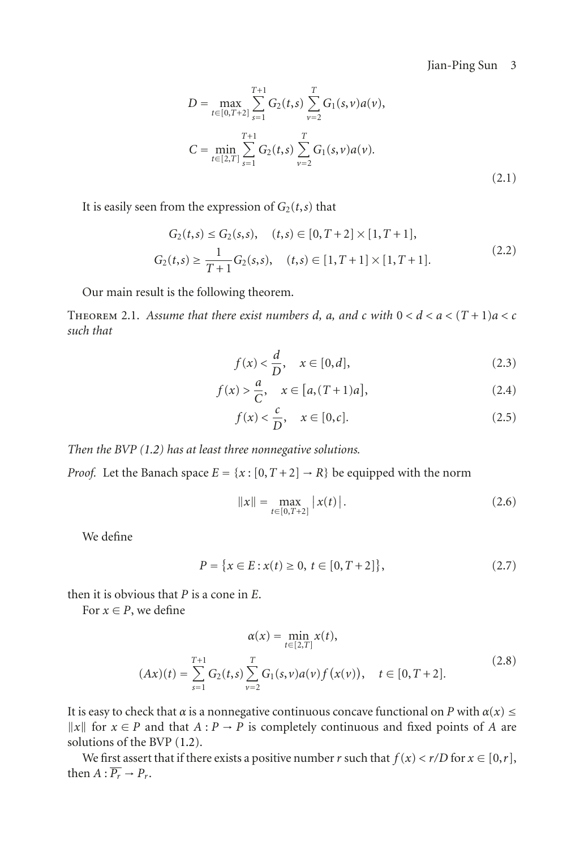<span id="page-2-3"></span>Jian-Ping Sun 3

$$
D = \max_{t \in [0, T+2]} \sum_{s=1}^{T+1} G_2(t, s) \sum_{\nu=2}^{T} G_1(s, \nu) a(\nu),
$$
  

$$
C = \min_{t \in [2, T]} \sum_{s=1}^{T+1} G_2(t, s) \sum_{\nu=2}^{T} G_1(s, \nu) a(\nu).
$$
 (2.1)

It is easily seen from the expression of  $G_2(t,s)$  that

$$
G_2(t,s) \le G_2(s,s), \quad (t,s) \in [0,T+2] \times [1,T+1],
$$
  
\n
$$
G_2(t,s) \ge \frac{1}{T+1} G_2(s,s), \quad (t,s) \in [1,T+1] \times [1,T+1].
$$
\n(2.2)

Our main result is the following theorem.

<span id="page-2-4"></span>THEOREM 2.1. Assume that there exist numbers *d*, *a*, and *c* with  $0 < d < a < (T + 1)a < c$ *such that*

<span id="page-2-2"></span><span id="page-2-0"></span>
$$
f(x) < \frac{d}{D}, \quad x \in [0, d],\tag{2.3}
$$

$$
f(x) > \frac{a}{C}, \quad x \in [a, (T+1)a],
$$
 (2.4)

<span id="page-2-1"></span>
$$
f(x) < \frac{c}{D}, \quad x \in [0, c]. \tag{2.5}
$$

*Then the BVP [\(1.2\)](#page-0-0) has at least three nonnegative solutions.*

*Proof.* Let the Banach space  $E = \{x : [0, T + 2] \rightarrow R\}$  be equipped with the norm

$$
||x|| = \max_{t \in [0, T+2]} |x(t)|.
$$
 (2.6)

We define

$$
P = \{x \in E : x(t) \ge 0, \ t \in [0, T + 2]\},\tag{2.7}
$$

then it is obvious that *P* is a cone in *E*.

For  $x \in P$ , we define

$$
\alpha(x) = \min_{t \in [2,T]} x(t),
$$
  
\n
$$
(Ax)(t) = \sum_{s=1}^{T+1} G_2(t,s) \sum_{\nu=2}^{T} G_1(s,\nu) a(\nu) f(x(\nu)), \quad t \in [0,T+2].
$$
\n(2.8)

It is easy to check that  $\alpha$  is a nonnegative continuous concave functional on *P* with  $\alpha(x) \le$  $||x||$  for *x* ∈ *P* and that *A* : *P* → *P* is completely continuous and fixed points of *A* are solutions of the BVP [\(1.2\)](#page-0-0).

We first assert that if there exists a positive number *r* such that  $f(x) < r/D$  for  $x \in [0, r]$ , then  $A: \overline{P_r} \rightarrow P_r$ .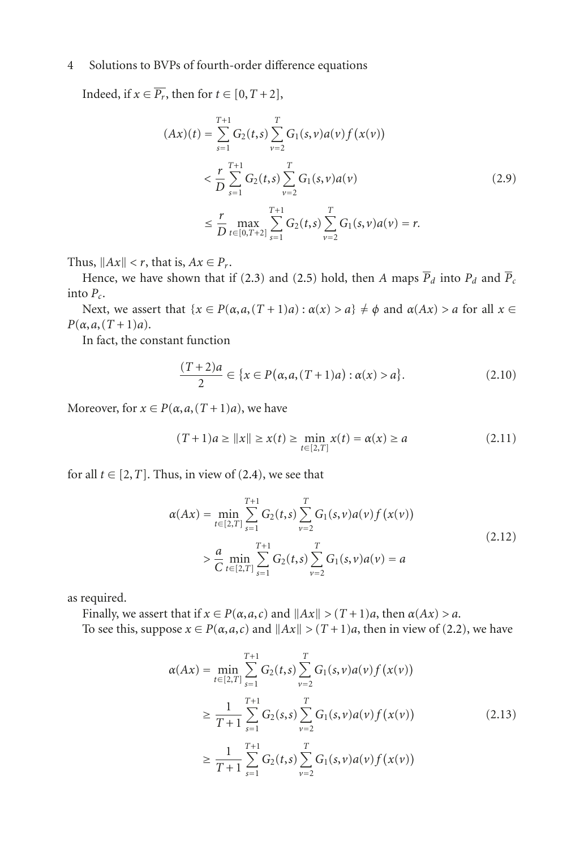## 4 Solutions to BVPs of fourth-order difference equations

Indeed, if  $x \in \overline{P_r}$ , then for  $t \in [0, T + 2]$ ,

$$
(Ax)(t) = \sum_{s=1}^{T+1} G_2(t,s) \sum_{\nu=2}^{T} G_1(s,\nu) a(\nu) f(x(\nu))
$$
  

$$
< \frac{r}{D} \sum_{s=1}^{T+1} G_2(t,s) \sum_{\nu=2}^{T} G_1(s,\nu) a(\nu)
$$
  

$$
\leq \frac{r}{D} \max_{t \in [0,T+2]} \sum_{s=1}^{T+1} G_2(t,s) \sum_{\nu=2}^{T} G_1(s,\nu) a(\nu) = r.
$$
 (2.9)

Thus,  $||Ax|| < r$ , that is,  $Ax \in P_r$ .

Hence, we have shown that if [\(2.3\)](#page-2-0) and [\(2.5\)](#page-2-1) hold, then *A* maps  $\overline{P}_d$  into  $P_d$  and  $\overline{P}_c$ into *Pc*.

Next, we assert that  $\{x \in P(\alpha, a, (T+1)a) : \alpha(x) > a\} \neq \phi$  and  $\alpha(Ax) > a$  for all  $x \in$  $P(\alpha, a, (T+1)a)$ .

In fact, the constant function

$$
\frac{(T+2)a}{2} \in \{x \in P(\alpha, a, (T+1)a) : \alpha(x) > a\}.
$$
 (2.10)

Moreover, for  $x \in P(\alpha, a, (T+1)a)$ , we have

$$
(T+1)a \ge ||x|| \ge x(t) \ge \min_{t \in [2,T]} x(t) = \alpha(x) \ge a \tag{2.11}
$$

for all  $t \in [2, T]$ . Thus, in view of [\(2.4\)](#page-2-2), we see that

$$
\alpha(Ax) = \min_{t \in [2,T]} \sum_{s=1}^{T+1} G_2(t,s) \sum_{\nu=2}^{T} G_1(s,\nu) a(\nu) f(x(\nu))
$$
  
> 
$$
\frac{a}{C} \min_{t \in [2,T]} \sum_{s=1}^{T+1} G_2(t,s) \sum_{\nu=2}^{T} G_1(s,\nu) a(\nu) = a
$$
 (2.12)

as required.

Finally, we assert that if  $x \in P(\alpha, a, c)$  and  $||Ax|| > (T+1)a$ , then  $\alpha(Ax) > a$ .

To see this, suppose  $x \in P(\alpha, a, c)$  and  $||Ax|| > (T+1)a$ , then in view of [\(2.2\)](#page-2-3), we have

$$
\alpha(Ax) = \min_{t \in [2,T]} \sum_{s=1}^{T+1} G_2(t,s) \sum_{\nu=2}^{T} G_1(s,\nu) a(\nu) f(x(\nu))
$$
  
\n
$$
\geq \frac{1}{T+1} \sum_{s=1}^{T+1} G_2(s,s) \sum_{\nu=2}^{T} G_1(s,\nu) a(\nu) f(x(\nu))
$$
  
\n
$$
\geq \frac{1}{T+1} \sum_{s=1}^{T+1} G_2(t,s) \sum_{\nu=2}^{T} G_1(s,\nu) a(\nu) f(x(\nu))
$$
\n(2.13)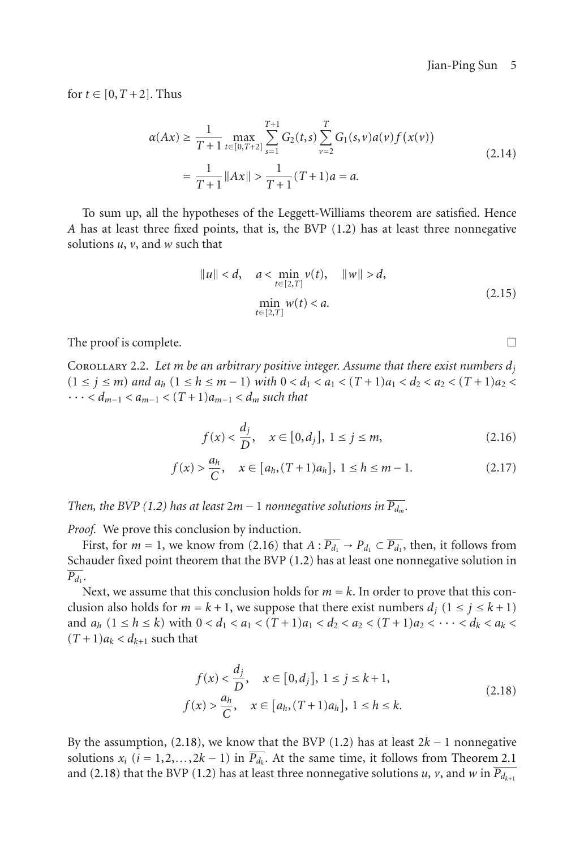for  $t \in [0, T + 2]$ . Thus

$$
\alpha(Ax) \ge \frac{1}{T+1} \max_{t \in [0,T+2]} \sum_{s=1}^{T+1} G_2(t,s) \sum_{\nu=2}^T G_1(s,\nu) a(\nu) f(x(\nu))
$$
  
= 
$$
\frac{1}{T+1} ||Ax|| > \frac{1}{T+1} (T+1) a = a.
$$
 (2.14)

To sum up, all the hypotheses of the Leggett-Williams theorem are satisfied. Hence *A* has at least three fixed points, that is, the BVP [\(1.2\)](#page-0-0) has at least three nonnegative solutions *u*, *v*, and *w* such that

$$
||u|| < d, \quad a < \min_{t \in [2,T]} v(t), \quad ||w|| > d,
$$
  
\n
$$
\min_{t \in [2,T]} w(t) < a.
$$
\n(2.15)

The proof is complete.  $\Box$ 

COROLLARY 2.2. Let *m* be an arbitrary positive integer. Assume that there exist numbers  $d_i$  $(1 \leq j \leq m)$  and  $a_h$   $(1 \leq h \leq m-1)$  with  $0 < d_1 < a_1 < (T+1)a_1 < d_2 < a_2 < (T+1)a_2 <$  $\cdots$  *< d<sub>m−1</sub>* <  $a_{m-1}$  <  $(T + 1)a_{m-1}$  <  $d_m$  such that

$$
f(x) < \frac{d_j}{D}, \quad x \in [0, d_j], \ 1 \le j \le m,\tag{2.16}
$$

$$
f(x) > \frac{a_h}{C}, \quad x \in [a_h, (T+1)a_h], \ 1 \le h \le m-1.
$$
 (2.17)

*Then, the BVP* [\(1.2\)](#page-0-0) *has at least*  $2m - 1$  *nonnegative solutions in*  $\overline{P_{d_m}}$ *.* 

*Proof.* We prove this conclusion by induction.

First, for  $m = 1$ , we know from [\(2.16\)](#page-4-0) that  $A: \overline{P_{d_1}} \to P_{d_1} \subset \overline{P_{d_1}}$ , then, it follows from Schauder fixed point theorem that the BVP [\(1.2\)](#page-0-0) has at least one nonnegative solution in  $\overline{P_d}$ .

Next, we assume that this conclusion holds for  $m = k$ . In order to prove that this conclusion also holds for  $m = k + 1$ , we suppose that there exist numbers  $d_j$   $(1 \le j \le k + 1)$ and  $a_h$   $(1 \le h \le k)$  with  $0 < d_1 < a_1 < (T+1)a_1 < d_2 < a_2 < (T+1)a_2 < \cdots < d_k < a_k <$  $(T+1)a_k < d_{k+1}$  such that

<span id="page-4-1"></span>
$$
f(x) < \frac{d_j}{D}, \quad x \in [0, d_j], \ 1 \le j \le k + 1,
$$
\n
$$
f(x) > \frac{a_h}{C}, \quad x \in [a_h, (T+1)a_h], \ 1 \le h \le k.
$$
\n
$$
(2.18)
$$

By the assumption, [\(2.18\)](#page-4-1), we know that the BVP [\(1.2\)](#page-0-0) has at least 2*<sup>k</sup>* <sup>−</sup> 1 nonnegative solutions  $x_i$  ( $i = 1, 2, ..., 2k - 1$ ) in  $\overline{P_{d_k}}$ . At the same time, it follows from [Theorem 2.1](#page-2-4) and [\(2.18\)](#page-4-1) that the BVP [\(1.2\)](#page-0-0) has at least three nonnegative solutions *u*, *v*, and *w* in  $\overline{P_{d_{k+1}}}$ 

<span id="page-4-0"></span>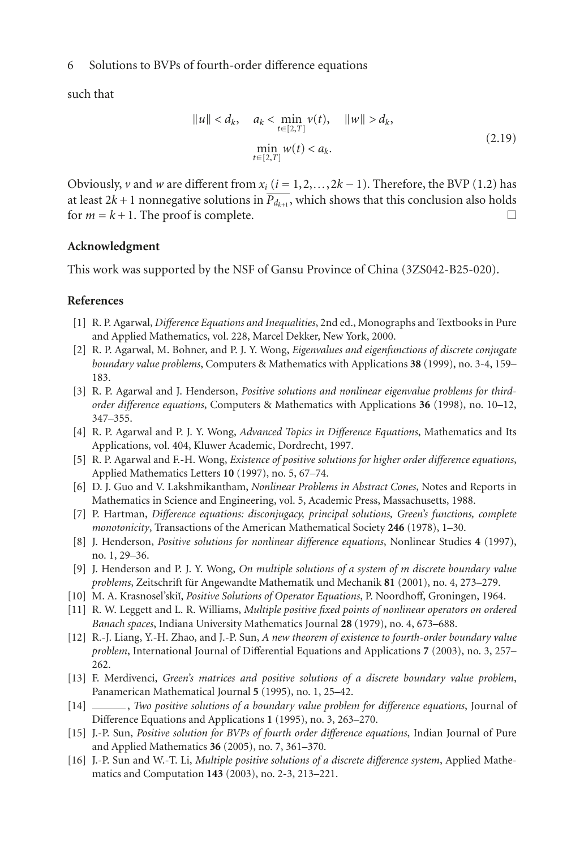## 6 Solutions to BVPs of fourth-order difference equations

such that

$$
||u|| < d_k, \quad a_k < \min_{t \in [2,T]} v(t), \quad ||w|| > d_k,
$$
  

$$
\min_{t \in [2,T]} w(t) < a_k.
$$
 (2.19)

Obviously, *v* and *w* are different from  $x_i$  ( $i = 1, 2, \ldots, 2k - 1$ ). Therefore, the BVP [\(1.2\)](#page-0-0) has at least  $2k + 1$  nonnegative solutions in  $\overline{P_{d_{k+1}}}$ , which shows that this conclusion also holds for  $m = k + 1$ . The proof is complete.

#### **Acknowledgment**

This work was supported by the NSF of Gansu Province of China (3ZS042-B25-020).

### <span id="page-5-6"></span><span id="page-5-0"></span>**References**

- [1] R. P. Agarwal, *Difference Equations and Inequalities*, 2nd ed., Monographs and Textbooks in Pure and Applied Mathematics, vol. 228, Marcel Dekker, New York, 2000.
- [2] R. P. Agarwal, M. Bohner, and P. J. Y. Wong, *Eigenvalues and eigenfunctions of discrete conjugate boundary value problems*, Computers & Mathematics with Applications **38** (1999), no. 3-4, 159– 183.
- [3] R. P. Agarwal and J. Henderson, *Positive solutions and nonlinear eigenvalue problems for thirdorder difference equations*, Computers & Mathematics with Applications **36** (1998), no. 10–12, 347–355.
- [4] R. P. Agarwal and P. J. Y. Wong, *Advanced Topics in Difference Equations*, Mathematics and Its Applications, vol. 404, Kluwer Academic, Dordrecht, 1997.
- <span id="page-5-1"></span>[5] R. P. Agarwal and F.-H. Wong, *Existence of positive solutions for higher order difference equations*, Applied Mathematics Letters **10** (1997), no. 5, 67–74.
- <span id="page-5-7"></span>[6] D. J. Guo and V. Lakshmikantham, *Nonlinear Problems in Abstract Cones*, Notes and Reports in Mathematics in Science and Engineering, vol. 5, Academic Press, Massachusetts, 1988.
- <span id="page-5-2"></span>[7] P. Hartman, *Difference equations: disconjugacy, principal solutions, Green's functions, complete monotonicity*, Transactions of the American Mathematical Society **246** (1978), 1–30.
- [8] J. Henderson, *Positive solutions for nonlinear difference equations*, Nonlinear Studies **4** (1997), no. 1, 29–36.
- <span id="page-5-3"></span>[9] J. Henderson and P. J. Y. Wong, *On multiple solutions of a system of m discrete boundary value problems*, Zeitschrift fur Angewandte Mathematik und Mechanik ¨ **81** (2001), no. 4, 273–279.
- <span id="page-5-8"></span>[10] M. A. Krasnosel'ski˘ı, *Positive Solutions of Operator Equations*, P. Noordhoff, Groningen, 1964.
- <span id="page-5-9"></span>[11] R. W. Leggett and L. R. Williams, *Multiple positive fixed points of nonlinear operators on ordered Banach spaces*, Indiana University Mathematics Journal **28** (1979), no. 4, 673–688.
- <span id="page-5-4"></span>[12] R.-J. Liang, Y.-H. Zhao, and J.-P. Sun, *A new theorem of existence to fourth-order boundary value problem*, International Journal of Differential Equations and Applications **7** (2003), no. 3, 257– 262.
- [13] F. Merdivenci, *Green's matrices and positive solutions of a discrete boundary value problem*, Panamerican Mathematical Journal **5** (1995), no. 1, 25–42.
- [14] , *Two positive solutions of a boundary value problem for difference equations*, Journal of Difference Equations and Applications **1** (1995), no. 3, 263–270.
- <span id="page-5-5"></span>[15] J.-P. Sun, *Positive solution for BVPs of fourth order difference equations*, Indian Journal of Pure and Applied Mathematics **36** (2005), no. 7, 361–370.
- [16] J.-P. Sun and W.-T. Li, *Multiple positive solutions of a discrete difference system*, Applied Mathematics and Computation **143** (2003), no. 2-3, 213–221.